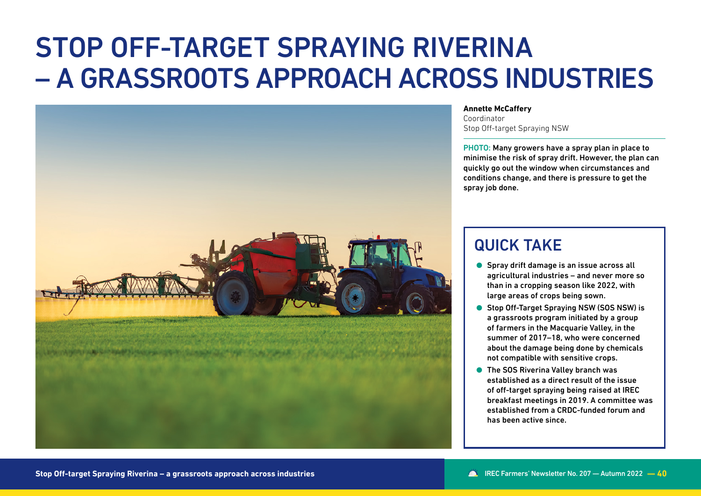# STOP OFF-TARGET SPRAYING RIVERINA – A GRASSROOTS APPROACH ACROSS INDUSTRIES



#### **Annette McCaffery**

Coordinator Stop Off-target Spraying NSW

PHOTO: Many growers have a spray plan in place to minimise the risk of spray drift. However, the plan can quickly go out the window when circumstances and conditions change, and there is pressure to get the spray job done.

# QUICK TAKE

- **Spray drift damage is an issue across all** agricultural industries – and never more so than in a cropping season like 2022, with large areas of crops being sown.
- Stop Off-Target Spraying NSW (SOS NSW) is a grassroots program initiated by a group of farmers in the Macquarie Valley, in the summer of 2017–18, who were concerned about the damage being done by chemicals not compatible with sensitive crops.
- The SOS Riverina Valley branch was established as a direct result of the issue of off-target spraying being raised at IREC breakfast meetings in 2019. A committee was established from a CRDC-funded forum and has been active since.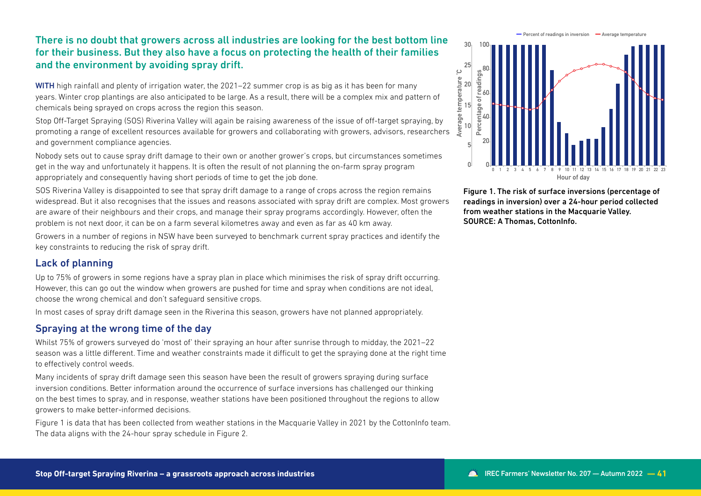## There is no doubt that growers across all industries are looking for the best bottom line for their business. But they also have a focus on protecting the health of their families and the environment by avoiding spray drift.

WITH high rainfall and plenty of irrigation water, the 2021–22 summer crop is as big as it has been for many years. Winter crop plantings are also anticipated to be large. As a result, there will be a complex mix and pattern of chemicals being sprayed on crops across the region this season.

Stop Off-Target Spraying (SOS) Riverina Valley will again be raising awareness of the issue of off-target spraying, by promoting a range of excellent resources available for growers and collaborating with growers, advisors, researchers and government compliance agencies.

Nobody sets out to cause spray drift damage to their own or another grower's crops, but circumstances sometimes get in the way and unfortunately it happens. It is often the result of not planning the on-farm spray program appropriately and consequently having short periods of time to get the job done.

SOS Riverina Valley is disappointed to see that spray drift damage to a range of crops across the region remains widespread. But it also recognises that the issues and reasons associated with spray drift are complex. Most growers are aware of their neighbours and their crops, and manage their spray programs accordingly. However, often the problem is not next door, it can be on a farm several kilometres away and even as far as 40 km away.

Growers in a number of regions in NSW have been surveyed to benchmark current spray practices and identify the key constraints to reducing the risk of spray drift.

#### Lack of planning

Up to 75% of growers in some regions have a spray plan in place which minimises the risk of spray drift occurring. However, this can go out the window when growers are pushed for time and spray when conditions are not ideal, choose the wrong chemical and don't safeguard sensitive crops.

In most cases of spray drift damage seen in the Riverina this season, growers have not planned appropriately.

#### Spraying at the wrong time of the day

Whilst 75% of growers surveyed do 'most of' their spraying an hour after sunrise through to midday, the 2021–22 season was a little different. Time and weather constraints made it difficult to get the spraying done at the right time to effectively control weeds.

Many incidents of spray drift damage seen this season have been the result of growers spraying during surface inversion conditions. Better information around the occurrence of surface inversions has challenged our thinking on the best times to spray, and in response, weather stations have been positioned throughout the regions to allow growers to make better-informed decisions.

Figure 1 is data that has been collected from weather stations in the Macquarie Valley in 2021 by the CottonInfo team. The data aligns with the 24-hour spray schedule in Figure 2.

**Percent of readings in inversion • Average temperature** 



Figure 1. The risk of surface inversions (percentage of readings in inversion) over a 24-hour period collected from weather stations in the Macquarie Valley. SOURCE: A Thomas, CottonInfo.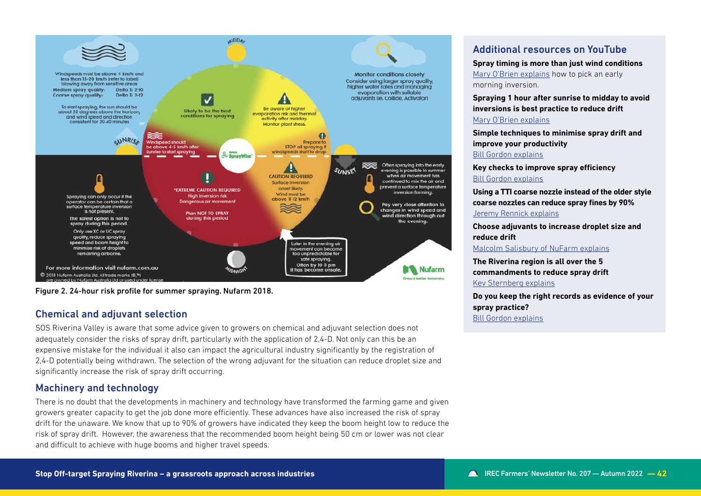

Figure 2. 24-hour risk profile for summer spraying. Nufarm 2018.

### Chemical and adjuvant selection

SOS Riverina Valley is aware that some advice given to growers on chemical and adjuvant selection does not adequately consider the risks of spray drift, particularly with the application of 2,4-D. Not only can this be an expensive mistake for the individual it also can impact the agricultural industry significantly by the registration of 2,4-D potentially being withdrawn. The selection of the wrong adjuvant for the situation can reduce droplet size and significantly increase the risk of spray drift occurring.

### Machinery and technology

There is no doubt that the developments in machinery and technology have transformed the farming game and given growers greater capacity to get the job done more efficiently. These advances have also increased the risk of spray drift for the unaware. We know that up to 90% of growers have indicated they keep the boom height low to reduce the risk of spray drift. However, the awareness that the recommended boom height being 50 cm or lower was not clear and difficult to achieve with huge booms and higher travel speeds.

# Additional resources on YouTube

**Spray timing is more than just wind conditions**

[Mary O'Brien explains](https://youtu.be/FPUstarVuls?list=PLQy8KAPn-DyqqLDLP3rJizTMuQ987MabB) how to pick an early morning inversion.

**Spraying 1 hour after sunrise to midday to avoid inversions is best practice to reduce drift**  [Mary O'Brien explains](https://youtu.be/BO-ODL6eO1g)

**Simple techniques to minimise spray drift and improve your productivity** [Bill Gordon explains](https://youtu.be/BN65YG85MFg)

**Key checks to improve spray efficiency**  [Bill Gordon explains](https://youtu.be/qcj8ZpuA2Ww)

**Using a TTI coarse nozzle instead of the older style coarse nozzles can reduce spray fines by 90%** [Jeremy Rennick explains](https://youtu.be/Gw5tgH3P38I?list=PLQy8KAPn-DyqqLDLP3rJizTMuQ987MabB)

**Choose adjuvants to increase droplet size and reduce drift** 

[Malcolm Salisbury of NuFarm explains](https://youtu.be/RqkGxTtKt5E)

**The Riverina region is all over the 5 commandments to reduce spray drift** [Kev Sternberg explains](https://youtu.be/1iuaFhzWNAs)

**Do you keep the right records as evidence of your spray practice?**  [Bill Gordon explains](https://youtu.be/t989JaTiZvM)